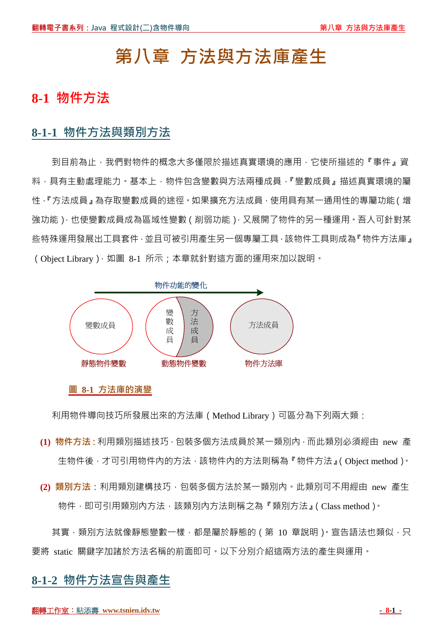# **第八章 方法與方法庫產生**

# **8-1 物件方法**

## **8-1-1 物件方法與類別方法**

到目前為止,我們對物件的概念大多僅限於描述真實環境的應用,它使所描述的『事件』資 料,具有主動處理能力。基本上,物件包含變數與方法兩種成員,『變數成員』描述真實環境的屬 性,『方法成員』為存取變數成員的途徑。如果擴充方法成員,使用具有某一通用性的專屬功能(增 強功能),也使變數成員成為區域性變數(削弱功能),又展開了物件的另一種運用。吾人可針對某 些特殊運用發展出工具套件,並且可被引用產生另一個專屬工具,該物件工具則成為『物件方法庫』 (Object Library), 如圖 8-1 所示;本章就針對這方面的運用來加以說明。



#### **圖 8-1 方法庫的演變**

利用物件導向技巧所發展出來的方法庫(Method Library)可區分為下列兩大類:

- **(1) 物件方法:**利用類別描述技巧,包裝多個方法成員於某一類別內,而此類別必須經由 new 產 生物件後,才可引用物件內的方法,該物件內的方法則稱為『物件方法』(Object method)。
- **(2) 類別方法:**利用類別建構技巧,包裝多個方法於某一類別內。此類別可不用經由 new 產生 物件,即可引用類別內方法,該類別內方法則稱之為『類別方法』(Class method)。

其實,類別方法就像靜態變數一樣,都是屬於靜態的(第 10 章說明)。宣告語法也類似,只 要將 static 關鍵字加諸於方法名稱的前面即可。以下分別介紹這兩方法的產生與運用。

## **8-1-2 物件方法宣告與產生**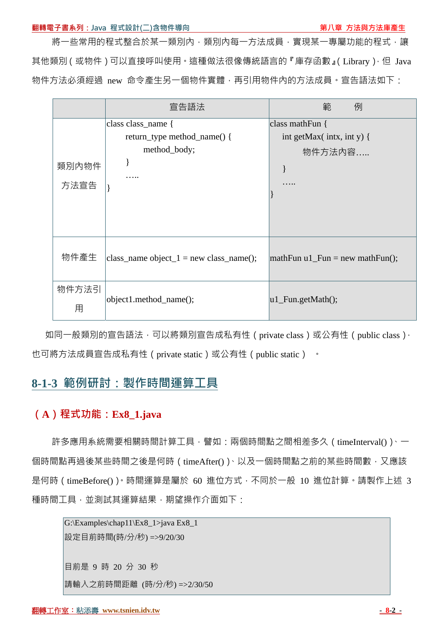#### **翻轉電子書系列:Java 程式設計(二)含物件導向 第八章 方法與方法庫產生**

將一些常用的程式整合於某一類別內,類別內每一方法成員,實現某一專屬功能的程式,讓 其他類別(或物件)可以直接呼叫使用。這種做法很像傳統語言的『庫存函數』(Library),但 Java 物件方法必須經過 new 命令產生另一個物件實體,再引用物件內的方法成員。宣告語法如下:

|               | 宣告語法                                                              | 範<br>例                                                  |
|---------------|-------------------------------------------------------------------|---------------------------------------------------------|
| 類別內物件<br>方法宣告 | class class_name {<br>return_type method_name() {<br>method_body; | class mathFun {<br>int getMax( intx, int y) {<br>物件方法内容 |
| 物件產生          | class_name object_1 = new class_name();                           | $\mathbf{mathFun} \, \mathrm{u1}$ Fun = new mathFun();  |
| 物件方法引<br>用    | object1.method_name();                                            | $ u1_Fun.getMath()$ ;                                   |

如同一般類別的宣告語法,可以將類別宣告成私有性 ( private class ) 或公有性 ( public class ) · 也可將方法成員宣告成私有性 ( private static ) 或公有性 ( public static ) 。

## **8-1-3 範例研討:製作時間運算工具**

## **(A)程式功能:Ex8\_1.java**

許多應用系統需要相關時間計算工具,譬如:兩個時間點之間相差多久 ( timeInterval( ) )、一 個時間點再過後某些時間之後是何時 ( timeAfter() )、以及一個時間點之前的某些時間數, 又應該 是何時 ( timeBefore() )。時間運算是屬於 60 進位方式, 不同於一般 10 進位計算。請製作上述 3 種時間工具,並測試其運算結果,期望操作介面如下:

G:\Examples\chap11\Ex8\_1>java Ex8\_1 設定目前時間(時/分/秒) =>9/20/30 目前是 9 時 20 分 30 秒 請輸入之前時間距離 (時/分/秒) =>2/30/50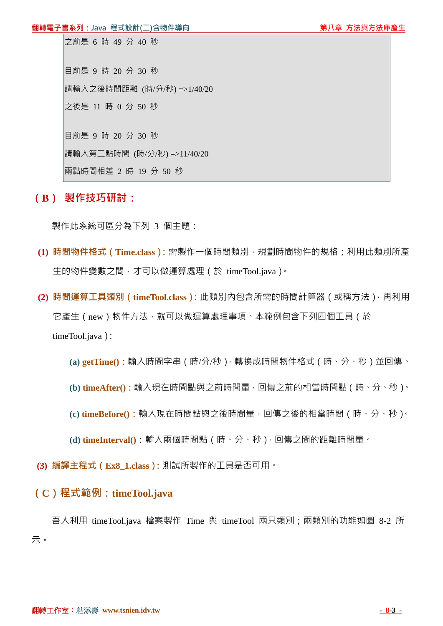目前是 9 時 20 分 30 秒 請輸入之後時間距離 (時/分/秒) =>1/40/20 之後是 11 時 0 分 50 秒 目前是 9 時 20 分 30 秒

請輸入第二點時間 (時/分/秒) =>11/40/20

兩點時間相差 2 時 19 分 50 秒

## **(B) 製作技巧研討:**

製作此系統可區分為下列 3 個主題:

- **(1) 時間物件格式(Time.class):**需製作一個時間類別,規劃時間物件的規格;利用此類別所產 生的物件變數之間,才可以做運算處理(於 timeTool.java)。
- **(2) 時間運算工具類別(timeTool.class):**此類別內包含所需的時間計算器(或稱方法),再利用 它產生(new)物件方法,就可以做運算處理事項。本範例包含下列四個工具(於 timeTool.java):

**(a) getTime():**輸入時間字串(時/分/秒),轉換成時間物件格式(時、分、秒)並回傳。

**(b) timeAfter():**輸入現在時間點與之前時間量,回傳之前的相當時間點(時、分、秒)。

**(c) timeBefore():**輸入現在時間點與之後時間量,回傳之後的相當時間(時、分、秒)。

**(d) timeInterval()**:輸入兩個時間點(時、分、秒),回傳之間的距離時間量。

**(3) 編譯主程式(Ex8\_1.class):**測試所製作的工具是否可用。

## **(C)程式範例:timeTool.java**

吾人利用 timeTool.java 檔案製作 Time 與 timeTool 兩只類別;兩類別的功能如圖 8-2 所 示。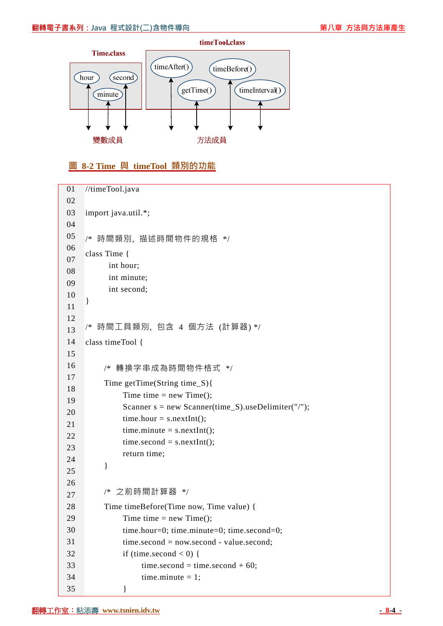

### **圖 8-2 Time 與 timeTool 類別的功能**

```
01 
02 
03 
04 
05 
06 
07 
08 
09 
10 
11 
12 
13 
14 
15 
16 
17 
18 
19 
20 
21 
22 
23 
24 
25 
26 
27 
28 
29 
30 
31 
32 
33 
34 
35 
     //timeTool.java 
     import java.util.*; 
     /* 時間類別, 描述時間物件的規格 */ 
     class Time { 
            int hour; 
            int minute; 
            int second; 
     } 
     /* 時間工具類別, 包含 4 個方法 (計算器) */ 
     class timeTool { 
           /* 轉換字串成為時間物件格式 */ 
           Time getTime(String time_S){ 
               Time time = new Time();
               Scanner s = new Scanner(time_S).useDelimiter("/");
               time.hour = s.nextInt();time.minute = s.nextInt();
               time second = s.nextInt(); return time; 
           } 
           /* 之前時間計算器 */ 
           Time timeBefore(Time now, Time value) { 
               Time time = new Time();
               time.hour=0; time.minute=0; time.second=0;
                time.second = now.second - value.second; 
               if (time.second < 0) {
                    time.second = time.second + 60;
                    time.minute = 1:
                }
```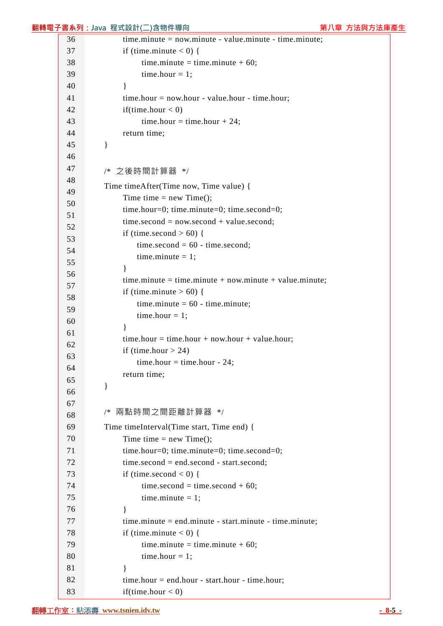|          | 翻轉電子書系列:Java 程式設計(二)含物件導向                                    | 第八章 方法與方法庫產生 |
|----------|--------------------------------------------------------------|--------------|
| 36       | $time. minute = now. minute - value. minute - time. minute;$ |              |
| 37       | if (time.minute $<$ 0) {                                     |              |
| 38       | time.minute = time.minute + $60$ ;                           |              |
| 39       | time.hour = $1$ ;                                            |              |
| 40       | $\mathcal{E}$                                                |              |
| 41       | $time.hour = now.hour - value.hour - time.hour;$             |              |
| 42       | if(time.hour $< 0$ )                                         |              |
| 43       | time.hour = time.hour + 24;                                  |              |
| 44       | return time;                                                 |              |
| 45       | $\}$                                                         |              |
| 46       |                                                              |              |
| 47       | /* 之後時間計算器 */                                                |              |
| 48       | Time timeAfter(Time now, Time value) {                       |              |
| 49       | Time time = $new Time();$                                    |              |
| 50       | time.hour=0; time.minute=0; time.second=0;                   |              |
| 51<br>52 | $time second = now second + value second;$                   |              |
| 53       | if (time.second $> 60$ ) {                                   |              |
| 54       | time.second = $60$ - time.second;                            |              |
| 55       | time.minute $= 1$ ;                                          |              |
| 56       |                                                              |              |
| 57       | $time.minute = time.minute + now.minute + value.minute;$     |              |
| 58       | if (time.minute $> 60$ ) {                                   |              |
| 59       | time.minute = $60$ - time.minute;                            |              |
| 60       | time.hour $= 1$ ;                                            |              |
| 61       |                                                              |              |
| 62       | time.hour = time.hour + now.hour + value.hour;               |              |
| 63       | if (time.hour $> 24$ )                                       |              |
| 64       | time.hour = time.hour - 24;                                  |              |
| 65       | return time;                                                 |              |
| 66       | }                                                            |              |
| 67       |                                                              |              |
| 68       | 兩點時間之間距離計算器 */<br>/*                                         |              |
| 69       | Time timeInterval(Time start, Time end) {                    |              |
| 70       | Time time = $new Time();$                                    |              |
| 71       | time.hour=0; time.minute=0; time.second=0;                   |              |
| 72       | $time second = end second - start second;$                   |              |
| 73       | if (time.second $< 0$ ) {                                    |              |
| 74       | time.second = time.second + 60;                              |              |
| 75       | time.minute $= 1$ ;                                          |              |
| 76       | ∤                                                            |              |
| 77       | $time.minute = end.minute - start.minute - time.minute;$     |              |
| 78       | if (time.minute $< 0$ ) {                                    |              |
| 79       | time.minute = time.minute + $60$ ;                           |              |
| 80<br>81 | time.hour $= 1$ ;                                            |              |
| 82       | ∤<br>$time.hour = end.hour - start.hour - time.hour;$        |              |
| 83       | if(time.hour $< 0$ )                                         |              |
|          |                                                              |              |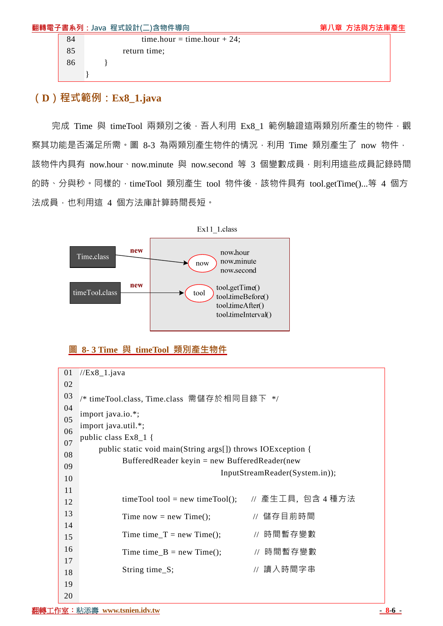|    | 翻轉電子書系列: Java 程式設計(二)含物件導向  | 第八章 方法與方法庫產生 |
|----|-----------------------------|--------------|
| 84 | time.hour = time.hour + 24; |              |
| 85 | return time:                |              |
| 86 |                             |              |
|    |                             |              |

## **(D)程式範例:Ex8\_1.java**

完成 Time 與 timeTool 兩類別之後,吾人利用 Ex8 1 範例驗證這兩類別所產生的物件,觀 察其功能是否滿足所需。圖 8-3 為兩類別產生物件的情況,利用 Time 類別產生了 now 物件, 該物件內具有 now.hour、now.minute 與 now.second 等 3 個變數成員,則利用這些成員記錄時間 的時、分與秒。同樣的, timeTool 類別產生 tool 物件後,該物件具有 tool.getTime()...等 4 個方 法成員,也利用這 4 個方法庫計算時間長短。



## **圖 8- 3 Time 與 timeTool 類別產生物件**

| 01 | $//Ex8_1.java$                                              |  |  |  |  |  |
|----|-------------------------------------------------------------|--|--|--|--|--|
| 02 |                                                             |  |  |  |  |  |
| 03 | /* timeTool.class, Time.class 需儲存於相同目錄下 */                  |  |  |  |  |  |
| 04 |                                                             |  |  |  |  |  |
| 05 | import java.io.*;                                           |  |  |  |  |  |
| 06 | import java.util.*;<br>public class $Ex8_1$ {               |  |  |  |  |  |
| 07 |                                                             |  |  |  |  |  |
| 08 | public static void main(String args[]) throws IOException { |  |  |  |  |  |
| 09 | Buffered Reader keyin = new Buffered Reader (new            |  |  |  |  |  |
| 10 | InputStreamReader(System.in));                              |  |  |  |  |  |
| 11 |                                                             |  |  |  |  |  |
| 12 | // 產生工具,包含 4 種方法<br>$time$ Tool tool = new time Tool();     |  |  |  |  |  |
| 13 | // 儲存目前時間<br>Time now = new Time();                         |  |  |  |  |  |
| 14 |                                                             |  |  |  |  |  |
| 15 | // 時間暫存變數<br>Time time_T = new Time();                      |  |  |  |  |  |
| 16 | // 時間暫存變數<br>Time time $B = new Time$ );                    |  |  |  |  |  |
| 17 |                                                             |  |  |  |  |  |
| 18 | // 讀入時間字串<br>String time_S;                                 |  |  |  |  |  |
| 19 |                                                             |  |  |  |  |  |
| 20 |                                                             |  |  |  |  |  |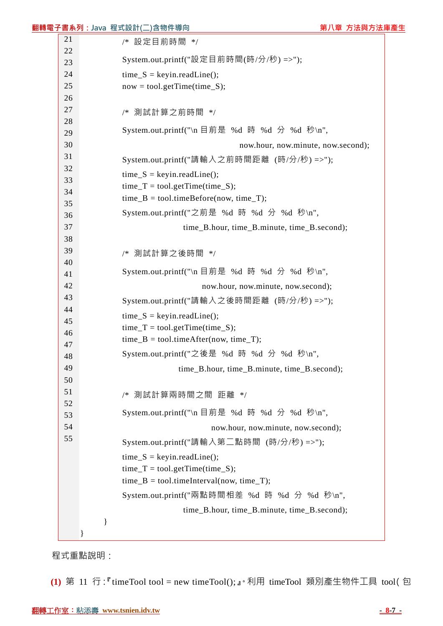|          | 翻轉電子書系列:Java 程式設計(二)含物件導向                    | 第八章 方法與方法庫產生 |
|----------|----------------------------------------------|--------------|
| 21       | /* 設定目前時間 */                                 |              |
| 22       |                                              |              |
| 23       | System.out.printf("設定目前時間(時/分/秒) =>");       |              |
| 24       | $time_S = keyin.readLine();$                 |              |
| 25       | $now = tool.getTime(time_S);$                |              |
| 26       |                                              |              |
| 27       | /* 測試計算之前時間 */                               |              |
| 28<br>29 | System.out.printf("\n 目前是 %d 時 %d 分 %d 秒\n", |              |
| 30       | now.hour, now.minute, now.second);           |              |
| 31       |                                              |              |
| 32       | System.out.printf("請輸入之前時間距離 (時/分/秒) =>");   |              |
| 33       | $time_S = keyin.readLine();$                 |              |
| 34       | $time_T = tool.getTime(time_S);$             |              |
| 35       | $time_B = tool.timeBefore(now, time_T);$     |              |
| 36       | System.out.printf("之前是 %d 時 %d 分 %d 秒\n",    |              |
| 37       | time_B.hour, time_B.minute, time_B.second);  |              |
| 38       |                                              |              |
| 39       | 測試計算之後時間 */<br>/*                            |              |
| 40       |                                              |              |
| 41       | System.out.printf("\n 目前是 %d 時 %d 分 %d 秒\n", |              |
| 42       | now.hour, now.minute, now.second);           |              |
| 43       | System.out.printf("請輸入之後時間距離 (時/分/秒) =>");   |              |
| 44       | $time_S = keyin.readLine();$                 |              |
| 45       | $time_T = tool.getTime(time_S);$             |              |
| 46       | $time_B = tool.timeAfter(now, time_T);$      |              |
| 47<br>48 | System.out.printf("之後是 %d 時 %d 分 %d 秒\n",    |              |
| 49       | time_B.hour, time_B.minute, time_B.second);  |              |
| 50       |                                              |              |
| 51       | 測試計算兩時間之間 距離 */<br>$/*$                      |              |
| 52       |                                              |              |
| 53       | System.out.printf("\n 目前是 %d 時 %d 分 %d 秒\n", |              |
| 54       | now.hour, now.minute, now.second);           |              |
| 55       | System.out.printf("請輸入第二點時間 (時/分/秒) =>");    |              |
|          | $time_S = keyin.readLine();$                 |              |
|          | $time_T = tool.getTime(time_S);$             |              |
|          | $time_B = tool.timeInterval(now, time_T);$   |              |
|          | System.out.printf("兩點時間相差 %d 時 %d 分 %d 秒\n", |              |
|          | time_B.hour, time_B.minute, time_B.second);  |              |
|          | }                                            |              |
|          |                                              |              |
|          |                                              |              |

程式重點說明:

**(1)** 第 11 行:『timeTool tool = new timeTool();』。利用 timeTool 類別產生物件工具 tool(包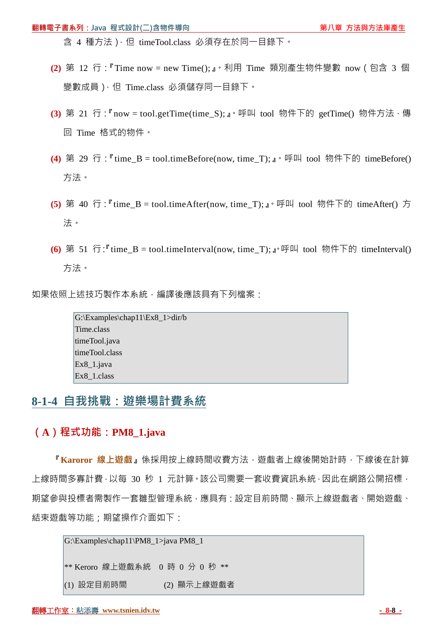含 4 種方法), 但 timeTool.class 必須存在於同一目錄下。

- **(2)** 第 12 行:『Time now = new Time();』。利用 Time 類別產生物件變數 now(包含 3 個 變數成員),但 Time.class 必須儲存同一目錄下。
- (3) 第 21 行: 『now = tool.getTime(time\_S);』。呼叫 tool 物件下的 getTime() 物件方法,傳 回 Time 格式的物件。
- **(4)** 第 29 行:『time\_B = tool.timeBefore(now, time\_T);』。呼叫 tool 物件下的 timeBefore() 方法。
- **(5)** 第 40 行:『time\_B = tool.timeAfter(now, time\_T);』。呼叫 tool 物件下的 timeAfter() 方 法。
- **(6)** 第 51 行:『time\_B = tool.timeInterval(now, time\_T);』。呼叫 tool 物件下的 timeInterval() 方法。

如果依照上述技巧製作本系統,編譯後應該具有下列檔案:

G:\Examples\chap11\Ex8\_1>dir/b Time.class timeTool.java timeTool.class Ex8\_1.java Ex8\_1.class

## **8-1-4 自我挑戰:遊樂場計費系統**

### **(A)程式功能:PM8\_1.java**

『**Karoror 線上遊戲**』係採用按上線時間收費方法,遊戲者上線後開始計時,下線後在計算 上線時間多寡計費,以每 30 秒 1 元計算。該公司需要一套收費資訊系統,因此在網路公開招標, 期望參與投標者需製作一套雛型管理系統,應具有:設定目前時間、顯示上線遊戲者、開始遊戲、 結束遊戲等功能;期望操作介面如下:

G:\Examples\chap11\PM8\_1>java PM8\_1 \*\* Keroro 線上遊戲系統 0 時 0 分 0 秒 \*\* (1) 設定目前時間 (2) 顯示上線遊戲者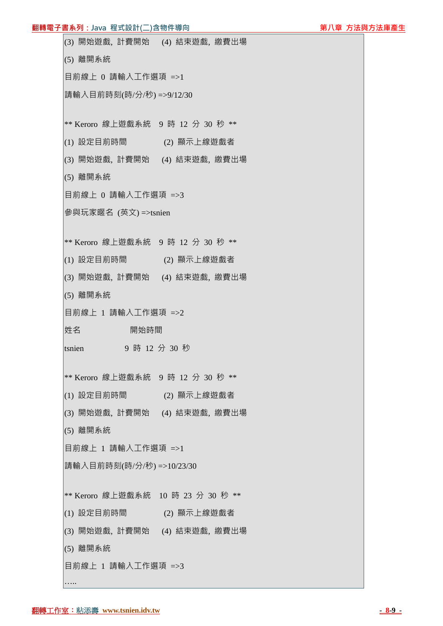### **翻轉電子書系列:Java 程式設計(二)含物件導向 第十四章 第一章 第一章 第八章 方法與方法庫產生**

| (3) 開始遊戲,計費開始 (4) 結束遊戲,繳費出場        |               |             |  |
|------------------------------------|---------------|-------------|--|
| (5) 離開系統                           |               |             |  |
| 目前線上 0 請輸入工作選項 =>1                 |               |             |  |
| 請輸入目前時刻(時/分/秒) =>9/12/30           |               |             |  |
| ** Keroro 線上遊戲系統 9 時 12 分 30 秒 **  |               |             |  |
| (1) 設定目前時間 (2) 顯示上線遊戲者             |               |             |  |
| (3) 開始遊戲,計費開始 (4) 結束遊戲,繳費出場        |               |             |  |
| (5) 離開系統                           |               |             |  |
| 目前線上 0 請輸入工作選項 =>3                 |               |             |  |
| 參與玩家暱名 (英文)=>tsnien                |               |             |  |
| ** Keroro 線上遊戲系統 9 時 12 分 30 秒 **  |               |             |  |
| (1) 設定目前時間                         |               | (2) 顯示上線遊戲者 |  |
| (3) 開始遊戲, 計費開始 (4) 結束遊戲, 繳費出場      |               |             |  |
| (5) 離開系統                           |               |             |  |
| 目前線上 1 請輸入工作選項 =>2                 |               |             |  |
| 姓名                                 | 開始時間          |             |  |
| tsnien                             | 9 時 12 分 30 秒 |             |  |
| ** Keroro 線上遊戲系統 9 時 12 分 30 秒 **  |               |             |  |
| (1) 設定目前時間                         |               | (2) 顯示上線遊戲者 |  |
| (3) 開始遊戲, 計費開始 (4) 結束遊戲, 繳費出場      |               |             |  |
|                                    |               |             |  |
| (5) 離開系統                           |               |             |  |
| 目前線上 1 請輸入工作選項 =>1                 |               |             |  |
| 請輸入目前時刻(時/分/秒) =>10/23/30          |               |             |  |
| ** Keroro 線上遊戲系統 10 時 23 分 30 秒 ** |               |             |  |
| (1) 設定目前時間                         |               | (2) 顯示上線遊戲者 |  |
| (3) 開始遊戲, 計費開始 (4) 結束遊戲, 繳費出場      |               |             |  |
| (5) 離開系統                           |               |             |  |

…..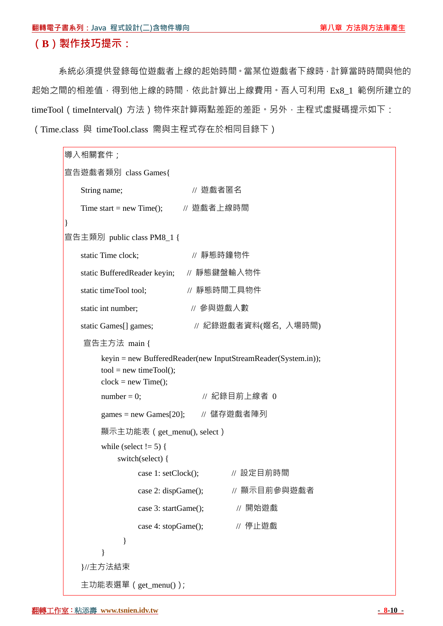### **(B)製作技巧提示:**

系統必須提供登錄每位遊戲者上線的起始時間。當某位遊戲者下線時,計算當時時間與他的 起始之間的相差值,得到他上線的時間,依此計算出上線費用。吾人可利用 Ex8\_1 範例所建立的 timeTool(timeInterval() 方法)物件來計算兩點差距的差距。另外,主程式虛擬碼提示如下: (Time.class 與 timeTool.class 需與主程式存在於相同目錄下)

```
導入相關套件;
宣告遊戲者類別 class Games{ 
   String name; <br> // 遊戲者匿名
   Time start = new Time(); // 遊戲者上線時間
} 
宣告主類別 public class PM8_1 { 
   static Time clock; // 靜態時鐘物件
   static BufferedReader keyin; // 靜態鍵盤輸入物件
   static timeTool tool: // 靜態時間工具物件
   static int number: 1/ 參與游戲人數
   static Games[] games; <br> // 紀錄遊戲者資料(嫟名, 入場時間)
   宣告主方法 main { 
        keyin = new BufferedReader(new InputStreamReader(System.in)); 
       tool = new timeTool();clock = new Time();
       number = 0; \angle // 紀錄目前上線者 0
       games = new Games[20]; // 儲存遊戲者陣列
       顯示主功能表(get_menu(), select)
       while (select != 5) {
            switch(select) { 
               case 1: setClock(); \qquad // 設定目前時間
               case 2: dispGame(); <br> // 顯示目前參與遊戲者
               case 3: startGame(); // 開始遊戲
               case 4: stopGame(); // 停止遊戲
             } 
 } 
    }//主方法結束
    主功能表選單(get_menu());
```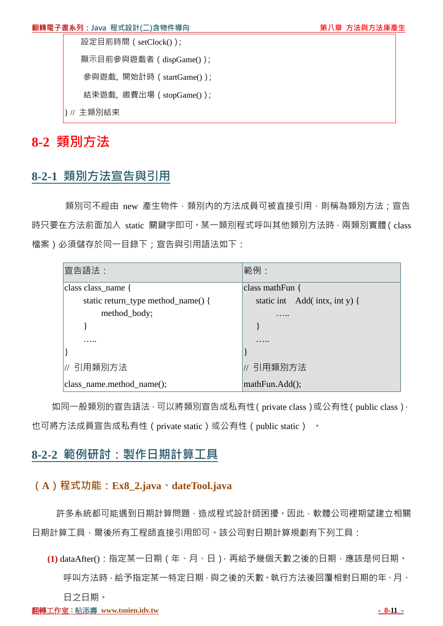設定目前時間(setClock());

顯示目前參與遊戲者(dispGame());

參與遊戲, 開始計時(startGame());

結束遊戲, 繳費出場(stopGame());

} // 主類別結束

# **8-2 類別方法**

# **8-2-1 類別方法宣告與引用**

類別可不經由 new 產生物件,類別內的方法成員可被直接引用,則稱為類別方法;宣告 時只要在方法前面加入 static 關鍵字即可。某一類別程式呼叫其他類別方法時,兩類別實體(class 檔案)必須儲存於同一目錄下;宣告與引用語法如下:

| 宣告語法:                              | 範例:                           |
|------------------------------------|-------------------------------|
| class class_name {                 | class mathFun $\{$            |
| static return_type method_name() { | static int Add(intx, int y) { |
| method_body;                       |                               |
|                                    |                               |
|                                    |                               |
|                                    |                               |
| // 引用類別方法                          | 引用類別方法                        |
| class_name.method_name();          | mathFun.Add();                |

如同一般類別的宣告語法,可以將類別宣告成私有性(private class)或公有性(public class), 也可將方法成員宣告成私有性(private static)或公有性(public static) 。

# **8-2-2 範例研討:製作日期計算工具**

## **(A)程式功能:Ex8\_2.java、dateTool.java**

許多系統都可能遇到日期計算問題,造成程式設計師困擾。因此,軟體公司裡期望建立相關 日期計算工具,爾後所有工程師直接引用即可。該公司對日期計算規劃有下列工具:

**(1)** dataAfter():指定某一日期(年、月、日),再給予幾個天數之後的日期,應該是何日期。 呼叫方法時,給予指定某一特定日期,與之後的天數。執行方法後回覆相對日期的年、月、 日之日期。

#### **翻轉工作室: 粘添壽 www.tsnien.idv.tw - 8-11 - 8-11 - 8-11 - 8-11 - 8-11 - 8-11 - 8-11 - 8-11 - 8-11 - 8-11 - 8-11 - 8-11**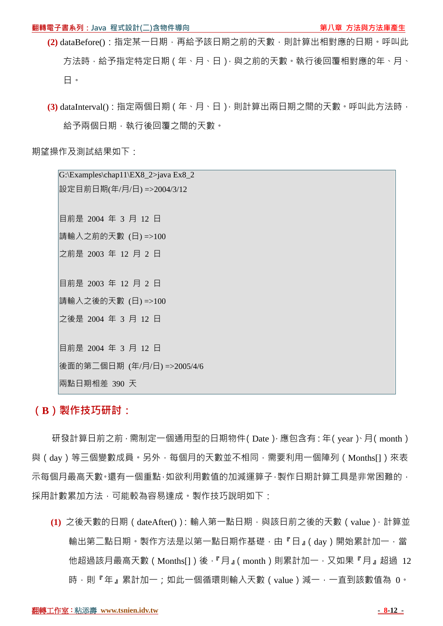- (2) dataBefore(): 指定某一日期, 再給予該日期之前的天數, 則計算出相對應的日期。呼叫此 方法時,給予指定特定日期(年、月、日),與之前的天數。執行後回覆相對應的年、月、 日。
- **(3)** dataInterval():指定兩個日期(年、月、日),則計算出兩日期之間的天數。呼叫此方法時, 給予兩個日期,執行後回覆之間的天數。

期望操作及測試結果如下:

 $|G:\to\text{Exp}_1|\to X8$  2>java Ex8 2 設定目前日期(年/月/日) =>2004/3/12 目前是 2004 年 3 月 12 日 請輸入之前的天數 (日) =>100 之前是 2003 年 12 月 2 日 目前是 2003 年 12 月 2 日 請輸入之後的天數 (日) =>100 之後是 2004 年 3 月 12 日 目前是 2004 年 3 月 12 日 後面的第二個日期 (年/月/日) =>2005/4/6 兩點日期相差 390 天

### **(B)製作技巧研討:**

研發計算日前之前,需制定一個通用型的日期物件(Date),應包含有:年(year)、月(month) 與(day)等三個變數成員。另外,每個月的天數並不相同,需要利用一個陣列(Months[])來表 示每個月最高天數。還有一個重點,如欲利用數值的加減運算子,製作日期計算工具是非常困難的, 採用計數累加方法,可能較為容易達成。製作技巧說明如下:

(1) 之後天數的日期 (dateAfter()): 輸入第一點日期, 與該日前之後的天數 (value), 計算並 輸出第二點日期。製作方法是以第一點日期作基礎,由『日』(day)開始累計加一,當 他超過該月最高天數(Months[1)後,『月』(month)則累計加一,又如果『月』超過 12 時,則『年』累計加一;如此一個循環則輸入天數(value)減一,一直到該數值為 0。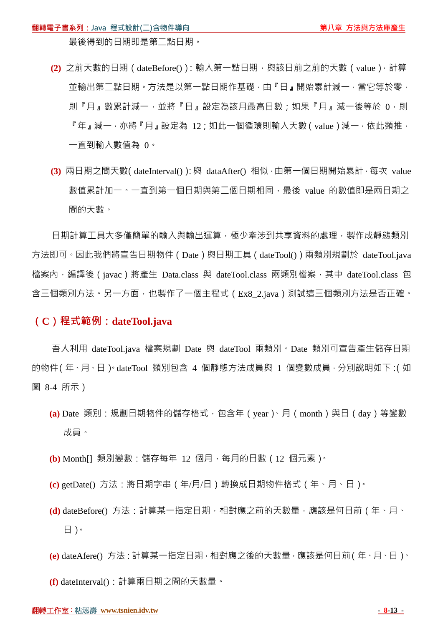最後得到的日期即是第二點日期。

- **(2)** 之前天數的日期(dateBefore()):輸入第一點日期,與該日前之前的天數(value),計算 並輸出第一點日期。方法是以第一點日期作基礎,由『日』開始累計減一,當它等於零, 則『月』數累計減一,並將『日』設定為該月最高日數;如果『月』減一後等於 0,則 『年』減一,亦將『月』設定為 12;如此一個循環則輸入天數(value)減一,依此類推, 一直到輸入數值為 0。
- **(3)** 兩日期之間天數(dateInterval()):與 dataAfter() 相似,由第一個日期開始累計,每次 value 數值累計加一。一直到第一個日期與第二個日期相同,最後 value 的數值即是兩日期之 間的天數。

日期計算工具大多僅簡單的輸入與輸出運算,極少牽涉到共享資料的處理,製作成靜態類別 方法即可。因此我們將宣告日期物件 (Date ) 與日期工具 (dateTool() ) 兩類別規劃於 dateTool.java 檔案內,編譯後(javac)將產生 Data.class 與 dateTool.class 兩類別檔案, 其中 dateTool.class 包 含三個類別方法。另一方面,也製作了一個主程式(Ex8\_2.java)測試這三個類別方法是否正確。

### **(C)程式範例:dateTool.java**

吾人利用 dateTool.java 檔案規劃 Date 與 dateTool 兩類別。Date 類別可宣告產生儲存日期 的物件(年、月、日)。dateTool 類別包含 4 個靜態方法成員與 1 個變數成員, 分別說明如下:(如 圖 8-4 所示)

- **(a)** Date 類別:規劃日期物件的儲存格式,包含年(year)、月(month)與日(day)等變數 成員。
- **(b)** Month[] 類別變數:儲存每年 12 個月,每月的日數(12 個元素)。
- **(c)** getDate() 方法:將日期字串(年/月/日)轉換成日期物件格式(年、月、日)。
- (d) dateBefore() 方法:計算某一指定日期, 相對應之前的天數量, 應該是何日前 ( 年、月、 日)。
- **(e)** dateAfere() 方法:計算某一指定日期,相對應之後的天數量,應該是何日前(年、月、日)。

**(f)** dateInterval():計算兩日期之間的天數量。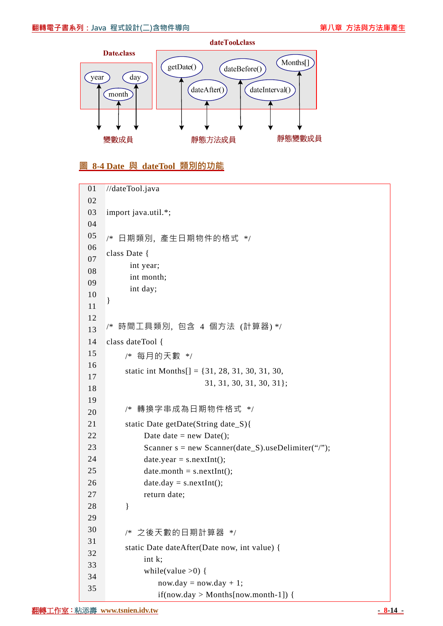

## **圖 8-4 Date 與 dateTool 類別的功能**

| 01       | //dateTool.java                                       |
|----------|-------------------------------------------------------|
| 02       |                                                       |
| 03       | import java.util.*;                                   |
| 04       |                                                       |
| 05       | 日期類別, 產生日期物件的格式 */<br>/*                              |
| 06       | class Date {                                          |
| 07       | int year;                                             |
| 08       | int month;                                            |
| 09       | int day;                                              |
| 10       | }                                                     |
| 11       |                                                       |
| 12       |                                                       |
| 13       | /* 時間工具類別,包含 4 個方法 (計算器) */                           |
| 14       | class dateTool {                                      |
| 15       | /* 每月的天數 */                                           |
| 16       | static int Months $[] = \{31, 28, 31, 30, 31, 30,$    |
| 17       | $31, 31, 30, 31, 30, 31$ ;                            |
| 18       |                                                       |
| 19       | 轉換字串成為日期物件格式 */<br>/*                                 |
| 20       |                                                       |
| 21       | static Date getDate(String date_S){                   |
| 22       | Date date = new Date();                               |
| 23       | Scanner $s = new Scanner(data_S)$ .useDelimiter("/"); |
| 24       | $date.year = s.nextInt();$                            |
| 25       | $date.month = s.nextInt();$                           |
| 26       | $date.day = s.nextInt();$                             |
| 27       | return date;                                          |
| 28       | ∤                                                     |
| 29<br>30 |                                                       |
| 31       | /* 之後天數的日期計算器 */                                      |
| 32       | static Date dateAfter(Date now, int value) {          |
| 33       | int k;                                                |
| 34       | while(value $>0$ ) {                                  |
| 35       | $now. day = now. day + 1;$                            |
|          | $if(now.day > Months[now.month-1])$ {                 |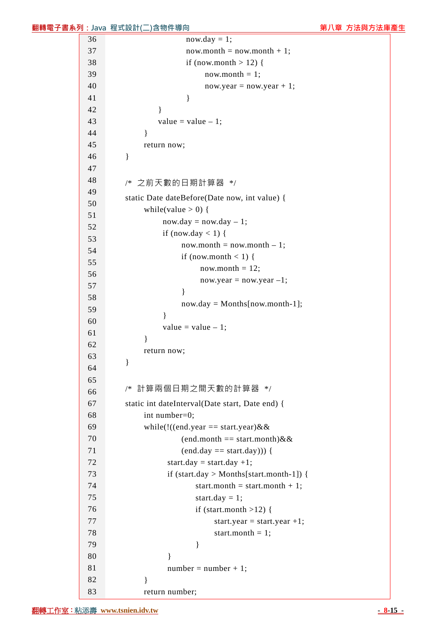|    | 翻轉電子書系列: Java 程式設計(二)含物件導向                                 | 第八章 方法與方法庫產生 |
|----|------------------------------------------------------------|--------------|
| 36 | $now. day = 1;$                                            |              |
| 37 | $now-month = now-month + 1;$                               |              |
| 38 | if (now.month $> 12$ ) {                                   |              |
| 39 | now.month $= 1$ ;                                          |              |
| 40 | $now. year = now. year + 1;$                               |              |
| 41 | $\mathbf{r}$                                               |              |
| 42 |                                                            |              |
| 43 | value = value $-1$ ;                                       |              |
| 44 |                                                            |              |
| 45 | return now;                                                |              |
| 46 | $\}$                                                       |              |
| 47 |                                                            |              |
| 48 | 之前天數的日期計算器 */<br>/*                                        |              |
| 49 |                                                            |              |
| 50 | static Date dateBefore(Date now, int value) {              |              |
| 51 | while(value $> 0$ ) {                                      |              |
| 52 | $now. day = now. day - 1;$<br>if (now.day < 1) {           |              |
| 53 | $now-month = now-month - 1;$                               |              |
| 54 |                                                            |              |
| 55 | if (now.month < 1) {<br>now.month $= 12$ ;                 |              |
| 56 | $now. year = now. year -1;$                                |              |
| 57 | ∤                                                          |              |
| 58 | $now/day = Months[now.month-1];$                           |              |
| 59 | ∤                                                          |              |
| 60 | value = value $-1$ ;                                       |              |
| 61 |                                                            |              |
| 62 | return now;                                                |              |
| 63 | $\}$                                                       |              |
| 64 |                                                            |              |
| 65 |                                                            |              |
| 66 | 計算兩個日期之間天數的計算器 */<br>/*                                    |              |
| 67 | static int dateInterval(Date start, Date end) {            |              |
| 68 | int number=0;                                              |              |
| 69 | while(!((end.year == start.year) & &                       |              |
| 70 | $(end.month == start.month)$ &&                            |              |
| 71 | $(end. day == start. day))$ {                              |              |
| 72 | start.day = start.day +1;                                  |              |
| 73 | if $(start.\text{day} > \text{Monthly} [start.month-1])$ { |              |
| 74 | start.month = start.month + 1;                             |              |

start.day = 1;

 $number = number + 1;$ 

if (start.month  $>12$ ) {

start.month  $= 1$ ;

start.year = start.year  $+1$ ;

| 40 | $now.year = now.year -$                     |
|----|---------------------------------------------|
| 41 | }                                           |
| 42 | $\mathcal{E}$                               |
| 43 | value = value $-1$ ;                        |
| 44 | ł                                           |
| 45 | return now;                                 |
| 46 | }                                           |
| 47 |                                             |
| 48 | /* 之前天數的日期計算器 */                            |
| 49 | static Date dateBefore(Date now, int value) |
| 50 | while(value $> 0$ ) {                       |
| 51 | $now. day = now. day - 1;$                  |
| 52 | if (now.day < 1) {                          |
| 53 | $now-month = now-month - 1$                 |
| 54 |                                             |
| 55 | if (now.month < 1) {                        |
| 56 | now.month = $12$ ;                          |
| 57 | $now.year = now.year -1$                    |
| 58 | $now/day = Months[now.mon$                  |
| 59 |                                             |
| 60 | ł<br>value = value $-1$ ;                   |
| 61 |                                             |
| 62 | }                                           |

}

}

}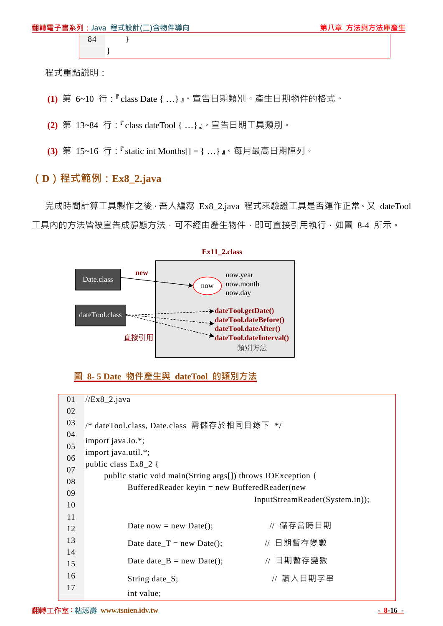|  | 翻轉電子書系列: Java 程式設計(二)含物件導向 | 第八章 方法與方法庫產生 |
|--|----------------------------|--------------|
|  |                            |              |

程式重點說明:

- **(1)** 第 6~10 行:『class Date { …}』。宣告日期類別。產生日期物件的格式。
- **(2)** 第 13~84 行:『class dateTool { …}』。宣告日期工具類別。
- **(3)** 第 15~16 行:『static int Months[] = { …}』。每月最高日期陣列。

## **(D)程式範例:Ex8\_2.java**

 $\left\{\begin{array}{ccc} \end{array}\right\}$ 

完成時間計算工具製作之後,吾人編寫 Ex8\_2.java 程式來驗證工具是否運作正常。又 dateTool 工具内的方法皆被宣告成靜態方法,可不經由產生物件,即可直接引用執行,如圖 8-4 所示。



#### **圖 8- 5 Date 物件產生與 dateTool 的類別方法**

| 01 | $//Ex8_2.java$                                              |                                |  |
|----|-------------------------------------------------------------|--------------------------------|--|
|    |                                                             |                                |  |
| 02 |                                                             |                                |  |
| 03 | /* dateTool.class, Date.class 需儲存於相同目錄下 */                  |                                |  |
| 04 |                                                             |                                |  |
| 05 | import java.io.*;                                           |                                |  |
| 06 | import java.util.*;                                         |                                |  |
|    | public class $Ex8_2$ {                                      |                                |  |
| 07 | public static void main(String args[]) throws IOException { |                                |  |
| 08 |                                                             |                                |  |
| 09 | Buffered Reader keyin = new Buffered Reader (new            |                                |  |
| 10 |                                                             | InputStreamReader(System.in)); |  |
| 11 |                                                             |                                |  |
|    | Date now = new Date();                                      | // 儲存當時日期                      |  |
| 12 |                                                             |                                |  |
| 13 | Date date $T = new Date$ ;                                  | // 日期暫存變數                      |  |
| 14 |                                                             |                                |  |
| 15 | Date date $B = new Date$ ;                                  | // 日期暫存變數                      |  |
| 16 |                                                             |                                |  |
| 17 | String date_S;                                              | // 讀入日期字串                      |  |
|    | int value;                                                  |                                |  |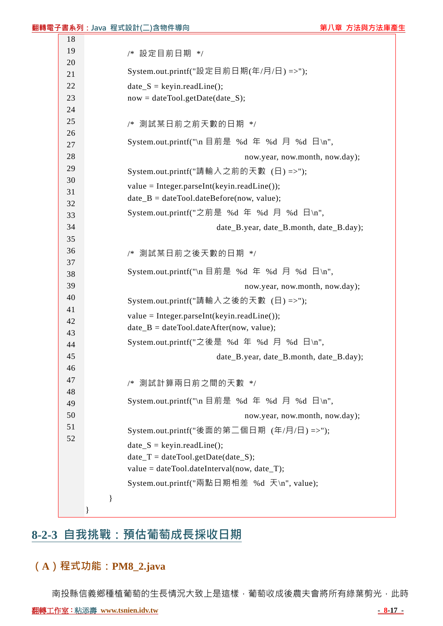|          | 翻 <mark>轉電子書系列:J</mark> ava 程式設計(二)含物件導向                                                     | 第八章 方法與方法庫產生                   |
|----------|----------------------------------------------------------------------------------------------|--------------------------------|
| 18       |                                                                                              |                                |
| 19       | /* 設定目前日期 */                                                                                 |                                |
| 20       | System.out.printf("設定目前日期(年/月/日) =>");                                                       |                                |
| 21<br>22 | $date_S = keyin.readLine();$                                                                 |                                |
| 23       | $now = dateTool.getDate(data_S);$                                                            |                                |
| 24       |                                                                                              |                                |
| 25       |                                                                                              |                                |
| 26       | /* 測試某日前之前天數的日期 */                                                                           |                                |
| 27       | System.out.printf("\n 目前是 %d 年 %d 月 %d 日\n",                                                 |                                |
| 28       |                                                                                              | now.year, now.month, now.day); |
| 29       | System.out.printf("請輸入之前的天數 (日) =>");                                                        |                                |
| 30       |                                                                                              |                                |
| 31       | $value = Integer.parseInt(keyin.readLine());$<br>$date_B = dateTool.dateBefore(now, value);$ |                                |
| 32       |                                                                                              |                                |
| 33       | System.out.printf("之前是 %d 年 %d 月 %d 日\n",                                                    |                                |
| 34       | date_B.year, date_B.month, date_B.day);                                                      |                                |
| 35       |                                                                                              |                                |
| 36       | /* 測試某日前之後天數的日期 */                                                                           |                                |
| 37       | System.out.printf("\n 目前是 %d 年 %d 月 %d 日\n",                                                 |                                |
| 38<br>39 |                                                                                              |                                |
| 40       |                                                                                              | now.year, now.month, now.day); |
| 41       | System.out.printf("請輸入之後的天數 (日) =>");                                                        |                                |
| 42       | $value = Integer.parseInt(keyin.readLine());$                                                |                                |
| 43       | $date_B = dateTool.dateAfter(now, value);$                                                   |                                |
| 44       | System.out.printf("之後是 %d 年 %d 月 %d 日\n",                                                    |                                |
| 45       | date_B.year, date_B.month, date_B.day);                                                      |                                |
| 46       |                                                                                              |                                |
| 47       | /* 測試計算兩日前之間的天數 */                                                                           |                                |
| 48       |                                                                                              |                                |
| 49       | System.out.printf("\n 目前是 %d 年 %d 月 %d 日\n",                                                 |                                |
| 50       |                                                                                              | now.year, now.month, now.day); |
| 51       | System.out.printf("後面的第二個日期 (年/月/日) =>");                                                    |                                |
| 52       | $date_S = keyin.readLine();$                                                                 |                                |
|          | $date_T = dateTool.getDate(data_S);$                                                         |                                |
|          | value = dateTool.dateInterval(now, date_T);                                                  |                                |
|          | System.out.printf("兩點日期相差 %d 天\n", value);                                                   |                                |
|          |                                                                                              |                                |

# **8-2-3 自我挑戰:預估葡萄成長採收日期**

# **(A)程式功能:PM8\_2.java**

南投縣信義鄉種植葡萄的生長情況大致上是這樣,葡萄收成後農夫會將所有綠葉剪光,此時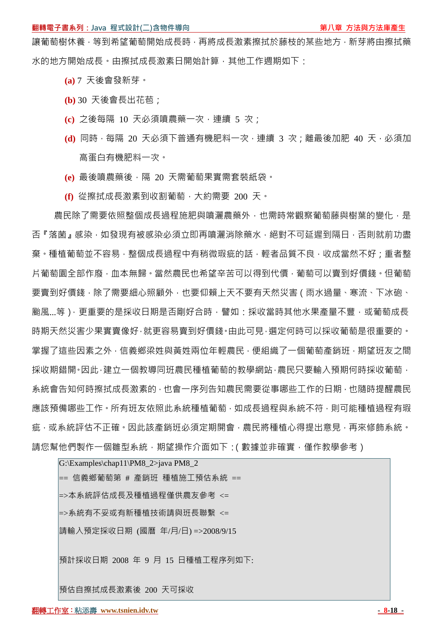讓葡萄樹休養,等到希望葡萄開始成長時,再將成長激素擦拭於藤枝的某些地方,新芽將由擦拭藥 水的地方開始成長。由擦拭成長激素日開始計算,其他工作週期如下:

- **(a)** 7 天後會發新芽。
- **(b)** 30 天後會長出花苞;
- **(c)** 之後每隔 10 天必須噴農藥一次,連續 5 次;
- **(d)** 同時,每隔 20 天必須下普通有機肥料一次,連續 3 次;離最後加肥 40 天,必須加 高蛋白有機肥料一次。
- **(e)** 最後噴農藥後,隔 20 天需葡萄果實需套裝紙袋。
- **(f)** 從擦拭成長激素到收割葡萄,大約需要 200 天。

農民除了需要依照整個成長過程施肥與噴灑農藥外,也需時常觀察葡萄藤與樹葉的變化,是 否『落菌』感染,如發現有被感染必須立即再噴灑消除藥水,絕對不可延遲到隔日,否則就前功盡 棄。種植葡萄並不容易,整個成長過程中有稍微瑕疵的話,輕者品質不良,收成當然不好;重者整 片葡萄園全部作廢,血本無歸。當然農民也希望辛苦可以得到代價,葡萄可以賣到好價錢。但葡萄 要賣到好價錢,除了需要細心照顧外,也要仰賴上天不要有天然災害(雨水過量、寒流、下冰砲、 颱風...等), 更重要的是採收日期是否剛好合時,譬如: 採收當時其他水果產量不豐, 或葡萄成長 時期天然災害少果實賣像好,就更容易賣到好價錢。由此可見,選定何時可以採收葡萄是很重要的。 掌握了這些因素之外,信義鄉梁姓與黃姓兩位年輕農民,便組織了一個葡萄產銷班,期望班友之間 採收期錯開。因此,建立一個教導同班農民種植葡萄的教學網站,農民只要輸入預期何時採收葡萄, 系統會告知何時擦拭成長激素的,也會一序列告知農民需要從事哪些工作的日期,也隨時提醒農民 應該預備哪些工作。所有班友依照此系統種植葡萄,如成長過程與系統不符,則可能種植過程有瑕 疵,或系統評估不正確。因此該產銷班必須定期開會,農民將種植心得提出意見,再來修飾系統。 請您幫他們製作一個雛型系統,期望操作介面如下:(數據並非確實,僅作教學參考)

G:\Examples\chap11\PM8\_2>java PM8\_2 == 信義鄉葡萄第 # 產銷班 種植施工預估系統 == =>本系統評估成長及種植過程僅供農友參考 <= =>系統有不妥或有新種植技術請與班長聯繫 <= 請輸入預定採收日期 (國曆 年/月/日) =>2008/9/15 預計採收日期 2008 年 9 月 15 日種植工程序列如下:

預估自擦拭成長激素後 200 天可採收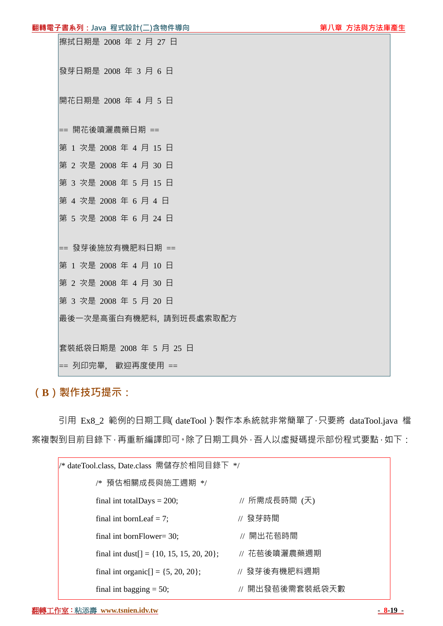```
擦拭日期是 2008 年 2 月 27 日
發芽日期是 2008 年 3 月 6 日
開花日期是 2008 年 4 月 5 日
== 開花後噴灑農藥日期 == 
第 1 次是 2008 年 4 月 15 日
第 2 次是 2008 年 4 月 30 日
第 3 次是 2008 年 5 月 15 日
第 4 次是 2008 年 6 月 4 日
第 5 次是 2008 年 6 月 24 日
== 發芽後施放有機肥料日期 == 
第 1 次是 2008 年 4 月 10 日
第 2 次是 2008 年 4 月 30 日
第 3 次是 2008 年 5 月 20 日
最後一次是高蛋白有機肥料, 請到班長處索取配方
套裝紙袋日期是 2008 年 5 月 25 日
== 列印完畢, 歡迎再度使用 ==
```
## **(B)製作技巧提示:**

引用 Ex8 2 範例的日期工具(dateTool),製作本系統就非常簡單了,只要將 dataTool.java 檔 案複製到目前目錄下,再重新編譯即可。除了日期工具外,吾人以虛擬碼提示部份程式要點,如下:

| /* dateTool.class, Date.class 需儲存於相同目錄下 */ |                 |  |
|--------------------------------------------|-----------------|--|
| /* 預估相關成長與施工週期 */                          |                 |  |
| final int total Days = $200$ ;             | // 所需成長時間 (天)   |  |
| final int bornLeaf $= 7$ ;                 | // 發芽時間         |  |
| final int bornFlower= $30$ ;               | // 開出花苞時間       |  |
| final int dust[] = {10, 15, 15, 20, 20};   | // 花苞後噴灑農藥週期    |  |
| final int organic $[$ = {5, 20, 20};       | // 發芽後有機肥料週期    |  |
| final int bagging $= 50$ ;                 | // 開出發苞後需套裝紙袋天數 |  |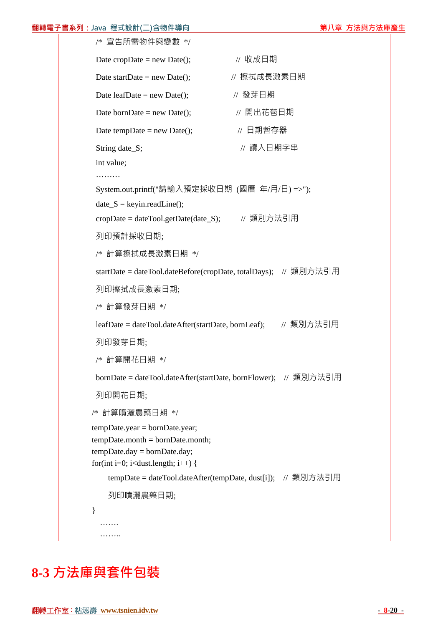#### **翻轉電子書系列:Java 程式設計(二)含物件導向 第八章 方法與方法庫產生**

```
 /* 宣告所需物件與變數 */ 
Date cropDate = new Date(); \angle // 收成日期
 Date startDate = new Date(); \angle // 擦拭成長激素日期
 Date leafDate = new Date(); <br> // 發芽日期
 Date bornDate = new Date(); <br> // 開出花苞日期
 Date tempDate = new Date(); \angle // 日期暫存器
 String date_S; <br> \blacksquare // 讀入日期字串
  int value; 
 ………
  System.out.printf("請輸入預定採收日期 (國曆 年/月/日) =>"); 
 date_S = keyin.readLine();cropDate = dateTool.getDate(date_S); // 類別方法引用
  列印預計採收日期; 
  /* 計算擦拭成長激素日期 */ 
 startDate = dateTool.dateBefore(cropDate, totalDays); // 類別方法引用
  列印擦拭成長激素日期; 
 /* 計算發芽日期 */ 
 leafDate = dateTool.dateAfter(startDate, bornLeaf); // 類別方法引用
  列印發芽日期; 
  /* 計算開花日期 */ 
 bornDate = dateTool.dateAfter(startDate, bornFlower); // 類別方法引用
  列印開花日期; 
 /* 計算噴灑農藥日期 */ 
 tempDate.year = bornDate.year; 
 tempDate.month = bornDate.month; 
tempDate.day = bornDate.day;for(int i=0; i<dust.length; i++) {
    tempDate = dateTool.dateAfter(tempDate, dust[i]); // 類別方法引用
    列印噴灑農藥日期; 
 } 
   ……. 
  ………
```
# **8-3 方法庫與套件包裝**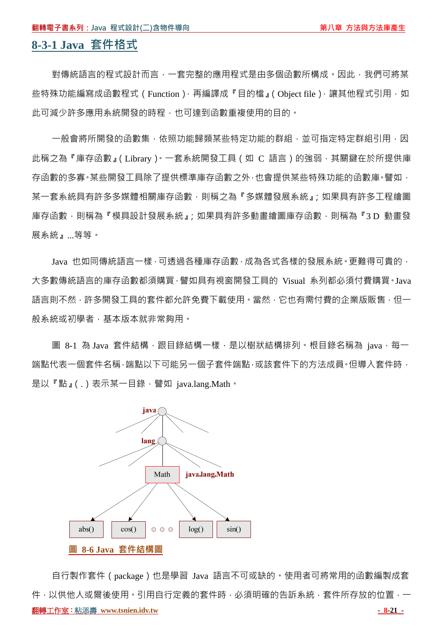# **8-3-1 Java 套件格式**

對傳統語言的程式設計而言,一套完整的應用程式是由多個函數所構成。因此,我們可將某 些特殊功能編寫成函數程式 (Function), 再編譯成『目的檔』(Object file), 讓其他程式引用, 如 此可減少許多應用系統開發的時程,也可達到函數重複使用的目的。

一般會將所開發的函數集,依照功能歸類某些特定功能的群組,並可指定特定群組引用,因 此稱之為『庫存函數』(Library)。一套系統開發工具(如 C 語言)的強弱,其關鍵在於所提供庫 存函數的多寡。某些開發工具除了提供標準庫存函數之外,也會提供某些特殊功能的函數庫。譬如, 某一套系統具有許多多媒體相關庫存函數,則稱之為『多媒體發展系統』;如果具有許多工程繪圖 庫存函數,則稱為『模具設計發展系統』;如果具有許多動畫繪圖庫存函數,則稱為『3D 動畫發 展系統』...等等。

Java 也如同傳統語言一樣,可透過各種庫存函數,成為各式各樣的發展系統。更難得可貴的, 大多數傳統語言的庫存函數都須購買,譬如具有視窗開發工具的 Visual 系列都必須付費購買。Java 語言則不然,許多開發工具的套件都允許免費下載使用。當然,它也有需付費的企業版販售,但一 般系統或初學者,基本版本就非常夠用。

圖 8-1 為 Java 套件結構,跟目錄結構一樣,是以樹狀結構排列。根目錄名稱為 java,每一 端點代表一個套件名稱,端點以下可能另一個子套件端點,或該套件下的方法成員。但導入套件時, 是以『點』(.)表示某一目錄,譬如 java.lang.Math。



**翻轉工作室: 粘添壽 www.tsnien.idv.tw - 8-21 - 8-21 - 8-21 - 8-21 - 8-21 - 8-21 - 8-21 - 8-21 - 8-21 - 8-21 - 8-21 - 8-21 - 8-21 - 8-21 - 8-21 - 8-21 - 8-21 - 8-21 - 8-21 - 8-21 - 8-21 - 8-21 - 8-21 - 8-21 - 8-21 - 8-21 - 8-21 -** 自行製作套件(package)也是學習 Java 語言不可或缺的。使用者可將常用的函數編製成套 件,以供他人或爾後使用。引用自行定義的套件時,必須明確的告訴系統,套件所存放的位置,一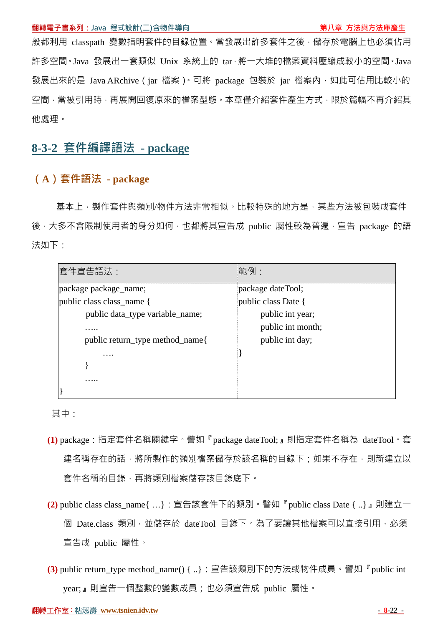般都利用 classpath 變數指明套件的目錄位置。當發展出許多套件之後,儲存於電腦上也必須佔用 許多空間。Java 發展出一套類似 Unix 系統上的 tar,將一大堆的檔案資料壓縮成較小的空間。Java 發展出來的是 Java ARchive (jar 檔案)。可將 package 包裝於 jar 檔案內,如此可佔用比較小的 空間,當被引用時,再展開回復原來的檔案型態。本章僅介紹套件產生方式,限於篇幅不再介紹其 他處理。

## **8-3-2 套件編譯語法 - package**

## **(A)套件語法 - package**

基本上,製作套件與類別/物件方法非常相似。比較特殊的地方是,某些方法被包裝成套件 後,大多不會限制使用者的身分如何,也都將其宣告成 public 屬性較為普遍,宣告 package 的語 法如下:

| 套件宣告語法:                         | 範例:                 |
|---------------------------------|---------------------|
| package package_name;           | package dateTool;   |
| public class class_name {       | public class Date { |
| public data_type variable_name; | public int year;    |
| .                               | public int month;   |
| public return_type method_name{ | public int day;     |
| .                               |                     |
|                                 |                     |
|                                 |                     |
|                                 |                     |

其中:

- **(1)** package:指定套件名稱關鍵字。譬如『package dateTool;』則指定套件名稱為 dateTool。套 建名稱存在的話,將所製作的類別檔案儲存於該名稱的目錄下;如果不存在,則新建立以 套件名稱的目錄,再將類別檔案儲存該目錄底下。
- **(2)** public class class\_name{ …}:宣告該套件下的類別。譬如『public class Date { ..}』則建立一 個 Date.class 類別, 並儲存於 dateTool 目錄下。為了要讓其他檔案可以直接引用, 必須 宣告成 public 屬性。
- **(3)** public return\_type method\_name() { ..}:宣告該類別下的方法或物件成員。譬如『public int year;』則宣告一個整數的變數成員;也必須宣告成 public 屬性。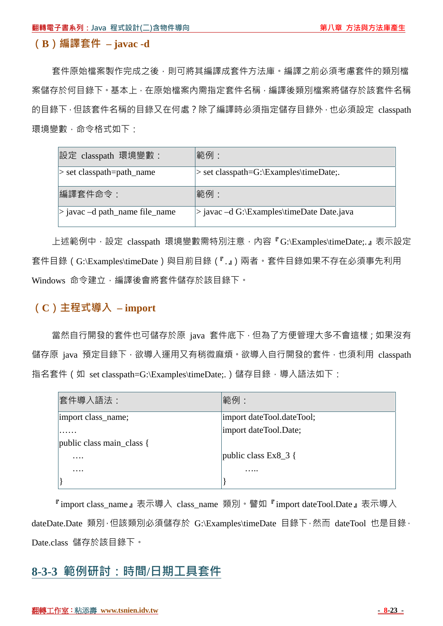## **(B)編譯套件 – javac -d**

套件原始檔案製作完成之後,則可將其編譯成套件方法庫。編譯之前必須考慮套件的類別檔 案儲存於何目錄下。基本上,在原始檔案內需指定套件名稱,編譯後類別檔案將儲存於該套件名稱 的目錄下,但該套件名稱的目錄又在何處?除了編譯時必須指定儲存目錄外,也必須設定 classpath 環境變數,命令格式如下:

| 設定 classpath 環境變數:                 | 範例:                                       |
|------------------------------------|-------------------------------------------|
| > set classpath=path_name          | > set classpath=G:\Examples\timeDate;     |
| 編譯套件命令:                            | 範例:                                       |
| $>$ javac $-d$ path_name file_name | > javac -d G:\Examples\timeDate Date.java |

上述範例中,設定 classpath 環境變數需特別注意,內容『G:\Examples\timeDate;.』表示設定 套件目錄(G:\Examples\timeDate)與目前目錄(『.』)兩者。套件目錄如果不存在必須事先利用 Windows 命令建立,編譯後會將套件儲存於該目錄下。

## **(C)主程式導入 – import**

當然自行開發的套件也可儲存於原 java 套件底下,但為了方便管理大多不會這樣;如果沒有 儲存原 java 預定目錄下, 欲導入運用又有稍微麻煩。欲導入自行開發的套件, 也須利用 classpath 指名套件 (如 set classpath=G:\Examples\timeDate;.) 儲存目錄, 導入語法如下:

| 套件導入語法:                   | 範例:                       |
|---------------------------|---------------------------|
| import class_name;        | import dateTool.dateTool; |
|                           | import dateTool.Date;     |
| public class main_class { |                           |
| $\cdots$                  | public class $Ex8_3$ {    |
| .                         | .                         |
|                           |                           |

『import class\_name』表示導入 class\_name 類別。譬如『import dateTool.Date』表示導入 dateDate.Date 類別,但該類別必須儲存於 G:\Examples\timeDate 目錄下,然而 dateTool 也是目錄, Date.class 儲存於該目錄下。

## **8-3-3 範例研討:時間/日期工具套件**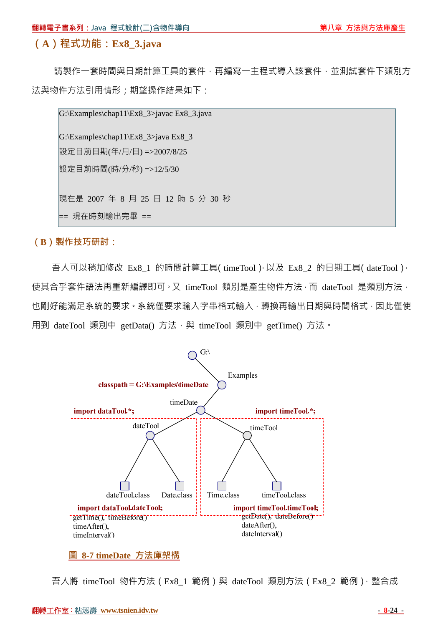### **(A)程式功能:Ex8\_3.java**

請製作一套時間與日期計算工具的套件,再編寫一主程式導入該套件,並測試套件下類別方 法與物件方法引用情形;期望操作結果如下:

G:\Examples\chap11\Ex8\_3>javac Ex8\_3.java

G:\Examples\chap11\Ex8\_3>java Ex8\_3 設定目前日期(年/月/日) =>2007/8/25 設定目前時間(時/分/秒) =>12/5/30

現在是 2007 年 8 月 25 日 12 時 5 分 30 秒

== 現在時刻輸出完畢 ==

**(B)製作技巧研討:**

吾人可以稍加修改 Ex8\_1 的時間計算工具(timeTool),以及 Ex8\_2 的日期工具(dateTool), 使其合乎套件語法再重新編譯即可。又 timeTool 類別是產生物件方法,而 dateTool 是類別方法, 也剛好能滿足系統的要求。系統僅要求輸入字串格式輸入,轉換再輸出日期與時間格式,因此僅使 用到 dateTool 類別中 getData() 方法,與 timeTool 類別中 getTime() 方法。



#### **圖 8-7 timeDate 方法庫架構**

吾人將 timeTool 物件方法 (Ex8\_1 範例)與 dateTool 類別方法 (Ex8\_2 範例), 整合成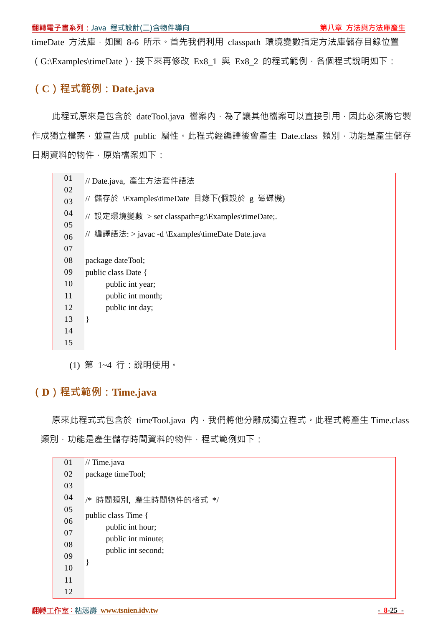timeDate 方法庫,如圖 8-6 所示。首先我們利用 classpath 環境變數指定方法庫儲存目錄位置 (G:\Examples\timeDate),接下來再修改 Ex8\_1 與 Ex8\_2 的程式範例,各個程式說明如下:

## **(C)程式範例:Date.java**

此程式原來是包含於 dateTool.java 檔案內,為了讓其他檔案可以直接引用,因此必須將它製 作成獨立檔案,並宣告成 public 屬性。此程式經編譯後會產生 Date.class 類別,功能是產生儲存 日期資料的物件,原始檔案如下:

| 01 | // Date.java, 產生方法套件語法                           |
|----|--------------------------------------------------|
| 02 |                                                  |
| 03 | 儲存於 \Examples\timeDate 目錄下(假設於 g 磁碟機)            |
| 04 | // 設定環境變數 > set classpath=g:\Examples\timeDate;. |
| 05 |                                                  |
| 06 | // 編譯語法: > javac -d \Examples\timeDate Date.java |
| 07 |                                                  |
| 08 | package dateTool;                                |
| 09 | public class Date {                              |
| 10 | public int year;                                 |
| 11 | public int month;                                |
| 12 | public int day;                                  |
| 13 | ł                                                |
| 14 |                                                  |
| 15 |                                                  |
|    |                                                  |

(1) 第 1~4 行:說明使用。

## **(D)程式範例:Time.java**

原來此程式式包含於 timeTool.java 內, 我們將他分離成獨立程式。此程式將產生 Time.class 類別,功能是產生儲存時間資料的物件,程式範例如下:

| 01 | // Time.java         |
|----|----------------------|
| 02 | package timeTool;    |
| 03 |                      |
| 04 | /* 時間類別,產生時間物件的格式 */ |
| 05 | public class Time {  |
| 06 | public int hour;     |
| 07 | public int minute;   |
| 08 | public int second;   |
| 09 |                      |
| 10 |                      |
| 11 |                      |
| 12 |                      |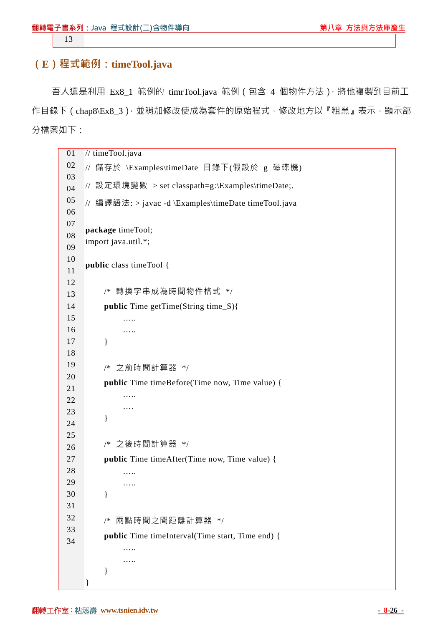13

## **(E)程式範例:timeTool.java**

吾人還是利用 Ex8\_1 範例的 timrTool.java 範例(包含 4 個物件方法),將他複製到目前工 作目錄下 (chap8\Ex8\_3), 並稍加修改使成為套件的原始程式, 修改地方以『粗黑』表示, 顯示部 分檔案如下:

```
01 
02 
03 
04 
05 
06 
07 
08 
09 
10 
11 
12 
13 
14 
15 
16 
17 
18 
19 
20 
21 
22 
23 
24 
25 
26 
27 
28 
29 
30 
31 
32 
33 
34 
    // timeTool.java 
    // 儲存於 \Examples\timeDate 目錄下(假設於 g 磁碟機) 
    // 設定環境變數 > set classpath=g:\Examples\timeDate;. 
    // 編譯語法: > javac -d \Examples\timeDate timeTool.java 
     package timeTool; 
     import java.util.*; 
     public class timeTool { 
           /* 轉換字串成為時間物件格式 */ 
           public Time getTime(String time_S){ 
                ….. 
                ….. 
           } 
           /* 之前時間計算器 */ 
           public Time timeBefore(Time now, Time value) { 
                ….. 
                …. 
           } 
          /* 之後時間計算器 */ 
           public Time timeAfter(Time now, Time value) { 
               ……
                ….. 
           } 
           /* 兩點時間之間距離計算器 */ 
           public Time timeInterval(Time start, Time end) { 
                ….. 
               …
           } 
     }
```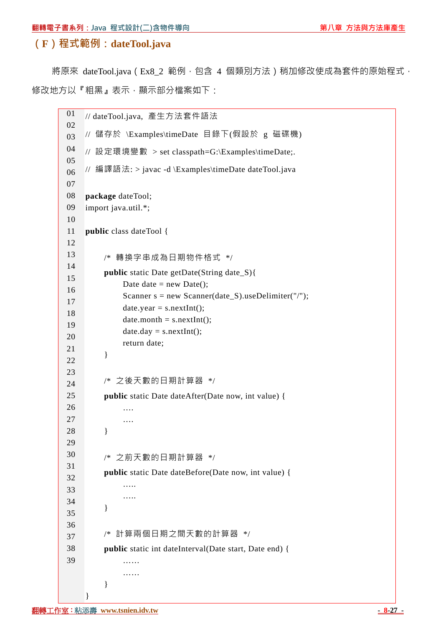## **(F)程式範例:dateTool.java**

將原來 dateTool.java (Ex8\_2 範例, 包含 4 個類別方法) 稍加修改使成為套件的原始程式, 修改地方以『粗黑』表示,顯示部分檔案如下:

01 02 03 04 05 06 07 08 09 10 11 12 13 14 15 16 17 18 19 20 21 22 23 24 25 26 27 28 29 30 31 32 33 34 35 36 37 38 39 // dateTool.java, 產生方法套件語法 // 儲存於 \Examples\timeDate 目錄下(假設於 g 磁碟機) // 設定環境變數 > set classpath=G:\Examples\timeDate;. // 編譯語法: > javac -d \Examples\timeDate dateTool.java **package** dateTool; import java.util.\*; **public** class dateTool { /\* 轉換字串成為日期物件格式 \*/ **public** static Date getDate(String date\_S){ Date date = new Date(); Scanner  $s = new Scanner(data_S).useDelimiter("/");$  $date.year = s.nextInt();$  $date.month = s.nextInt();$  $date.day = s.nextInt();$  return date; } /\* 之後天數的日期計算器 \*/ **public** static Date dateAfter(Date now, int value) { …. …. } /\* 之前天數的日期計算器 \*/ **public** static Date dateBefore(Date now, int value) { ….. ….. } /\* 計算兩個日期之間天數的計算器 \*/ **public** static int dateInterval(Date start, Date end) { …… …… } }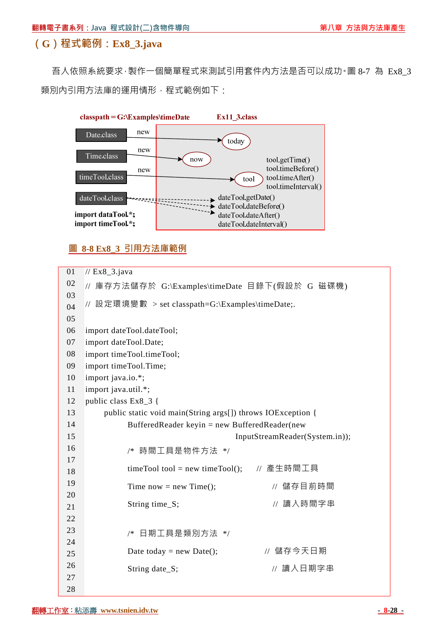## **(G)程式範例:Ex8\_3.java**

吾人依照系統要求, 製作一個簡單程式來測試引用套件內方法是否可以成功·圖 8-7 為 Ex8 3 類別內引用方法庫的運用情形,程式範例如下:



### **圖 8-8 Ex8\_3 引用方法庫範例**

01 02 03 04 05 06 07 08 09 10 11 12 13 14 15 16 17 18 19 20 21 22 23 24 25 26 27 28 // Ex8\_3.java // 庫存方法儲存於 G:\Examples\timeDate 目錄下(假設於 G 磁碟機) // 設定環境變數 > set classpath=G:\Examples\timeDate;. import dateTool.dateTool; import dateTool.Date; import timeTool.timeTool; import timeTool.Time; import java.io.\*; import java.util.\*; public class Ex8\_3 { public static void main(String args[]) throws IOException { BufferedReader keyin = new BufferedReader(new InputStreamReader(System.in)); /\* 時間工具是物件方法 \*/ timeTool tool = new timeTool(); // 產生時間工具 Time now = new Time();  $\frac{1}{2}$  **f** 衛存目前時間 String time S; <br> // 讀入時間字串 /\* 日期工具是類別方法 \*/ Date today = new Date();  $\angle$  // 儲存今天日期 String date\_S; <br>  $\qquad$  // 讀入日期字串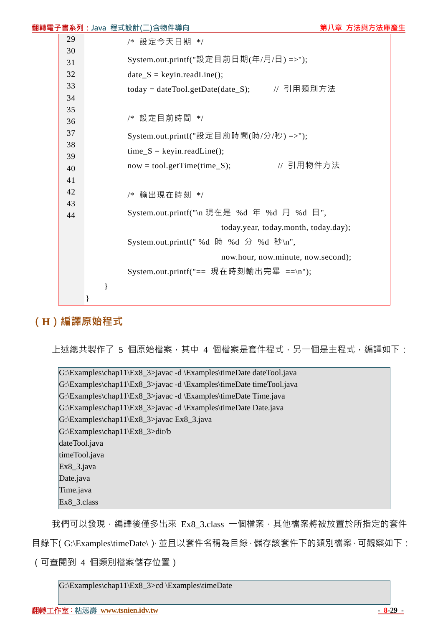|    | <mark>翻轉電子書系列:Java</mark> 程式設計(二)含物件導向      | 第八章 方法與方法庫產生                           |  |  |
|----|---------------------------------------------|----------------------------------------|--|--|
| 29 | /* 設定今天日期 */                                |                                        |  |  |
| 30 | System.out.printf("設定目前日期(年/月/日) =>");      |                                        |  |  |
| 31 |                                             |                                        |  |  |
| 32 | $date_S = keyin.readLine();$                |                                        |  |  |
| 33 | today = dateTool.getDate(date_S); // 引用類別方法 |                                        |  |  |
| 34 |                                             |                                        |  |  |
| 35 | /* 設定目前時間 */                                |                                        |  |  |
| 36 |                                             |                                        |  |  |
| 37 |                                             | System.out.printf("設定目前時間(時/分/秒) =>"); |  |  |
| 38 | $time_S = keyin.readLine();$                |                                        |  |  |
| 39 |                                             | // 引用物件方法                              |  |  |
| 40 | $now = tool.getTime(time_S);$               |                                        |  |  |
| 41 |                                             |                                        |  |  |
| 42 | /* 輸出現在時刻 */                                |                                        |  |  |
| 43 | System.out.printf("\n 現在是 %d 年 %d 月 %d 日",  |                                        |  |  |
| 44 |                                             |                                        |  |  |
|    | today.year, today.month, today.day);        |                                        |  |  |
|    | System.out.printf("%d 時 %d 分 %d 秒\n",       |                                        |  |  |
|    | now.hour, now.minute, now.second);          |                                        |  |  |
|    | System.out.printf("== 現在時刻輸出完畢 ==\n");      |                                        |  |  |
|    | $\}$                                        |                                        |  |  |
|    |                                             |                                        |  |  |
|    |                                             |                                        |  |  |

## **(H)編譯原始程式**

上述總共製作了 5 個原始檔案, 其中 4 個檔案是套件程式, 另一個是主程式, 編譯如下:

G:\Examples\chap11\Ex8\_3>javac -d \Examples\timeDate dateTool.java G:\Examples\chap11\Ex8\_3>javac -d \Examples\timeDate timeTool.java G:\Examples\chap11\Ex8\_3>javac -d \Examples\timeDate Time.java G:\Examples\chap11\Ex8\_3>javac -d \Examples\timeDate Date.java G:\Examples\chap11\Ex8\_3>javac Ex8\_3.java G:\Examples\chap11\Ex8\_3>dir/b dateTool.java timeTool.java Ex8\_3.java Date.java Time.java Ex8\_3.class

我們可以發現,編譯後僅多出來 Ex8\_3.class 一個檔案,其他檔案將被放置於所指定的套件

目錄下(G:\Examples\timeDate\),並且以套件名稱為目錄,儲存該套件下的類別檔案,可觀察如下:

(可查閱到 4 個類別檔案儲存位置)

G:\Examples\chap11\Ex8\_3>cd \Examples\timeDate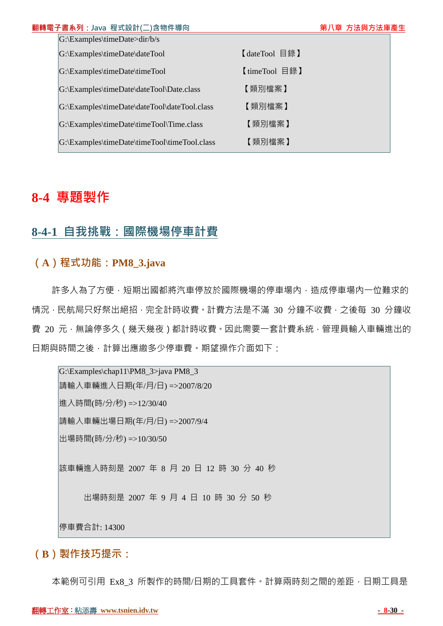| 翻轉電子書系列: Java 程式設計(二)含物件導向                                 |               | 第八章 方法與方法庫產生 |
|------------------------------------------------------------|---------------|--------------|
| $ G:\to\text{Examples}\times\text{Date}\times\text{db}/s $ |               |              |
| G:\Examples\timeDate\dateTool                              | 【dateTool 目錄】 |              |
| G:\Examples\timeDate\timeTool                              | 【timeTool 目錄】 |              |
| G:\Examples\timeDate\dateTool\Date.class                   | 【類別檔案】        |              |
| G:\Examples\timeDate\dateTool\dateTool.class               | 【類別檔案】        |              |
| G:\Examples\timeDate\timeTool\Time.class                   | 【類別檔案】        |              |
| G:\Examples\timeDate\timeTool\timeTool.class               | 【類別檔案】        |              |
|                                                            |               |              |

# **8-4 專題製作**

## **8-4-1 自我挑戰:國際機場停車計費**

## **(A)程式功能:PM8\_3.java**

許多人為了方便,短期出國都將汽車停放於國際機場的停車場內,造成停車場內一位難求的 情況,民航局只好祭出絕招,完全計時收費。計費方法是不滿 30 分鐘不收費,之後每 30 分鐘收 費 20 元,無論停多久 (幾天幾夜)都計時收費。因此需要一套計費系統,管理員輸入車輛進出的 日期與時間之後,計算出應繳多少停車費。期望操作介面如下:

G:\Examples\chap11\PM8\_3>java PM8\_3 請輸入車輛進入日期(年/月/日) =>2007/8/20 進入時間(時/分/秒) =>12/30/40 請輸入車輛出場日期(年/月/日) =>2007/9/4 出場時間(時/分/秒) =>10/30/50 該車輛進入時刻是 2007 年 8 月 20 日 12 時 30 分 40 秒 出場時刻是 2007 年 9 月 4 日 10 時 30 分 50 秒 停車費合計: 14300

**(B)製作技巧提示:**

本範例可引用 Ex8 3 所製作的時間/日期的工具套件。計算兩時刻之間的差距,日期工具是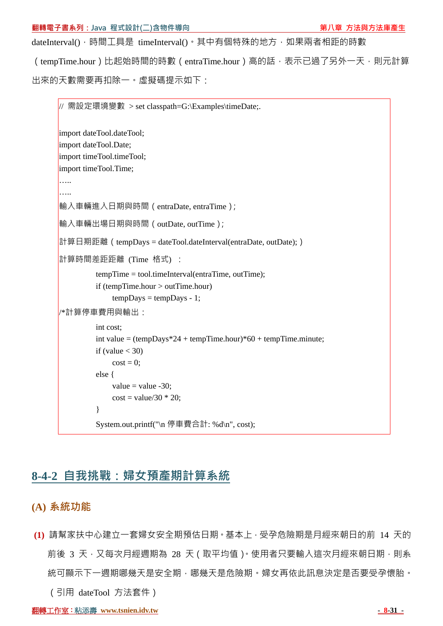dateInterval(), 時間工具是 timeInterval()。其中有個特殊的地方, 如果兩者相距的時數

(tempTime.hour)比起始時間的時數(entraTime.hour)高的話,表示已過了另外一天,則元計算 出來的天數需要再扣除一。虛擬碼提示如下:

需設定環境變數 > set classpath=G:\Examples\timeDate;. import dateTool.dateTool; import dateTool.Date; import timeTool.timeTool; import timeTool.Time; ….. ….. 輸入車輛進入日期與時間(entraDate, entraTime); 輸入車輛出場日期與時間(outDate, outTime); 計算日期距離 (tempDays = dateTool.dateInterval(entraDate, outDate);) 計算時間差距距離 (Time 格式) : tempTime = tool.timeInterval(entraTime, outTime); if (tempTime.hour > outTime.hour)  $tempDavis = tempDavis - 1$ ; /\*計算停車費用與輸出: int cost; int value =  $(tempDays*24 + tempTime-hour)*60 + tempTime-minute;$ if (value  $<$  30)  $cost = 0$ ; else { value  $=$  value  $-30$ :  $cost = value/30 * 20;$  } System.out.printf("\n 停車費合計: %d\n", cost);

# **8-4-2 自我挑戰:婦女預產期計算系統**

- **(A) 系統功能**
- **(1)** 請幫家扶中心建立一套婦女安全期預估日期。基本上,受孕危險期是月經來朝日的前 14 天的 前後 3 天, 又每次月經週期為 28 天 (取平均值)。使用者只要輸入這次月經來朝日期, 則系 統可顯示下一週期哪幾天是安全期,哪幾天是危險期。婦女再依此訊息決定是否要受孕懷胎。 (引用 dateTool 方法套件)